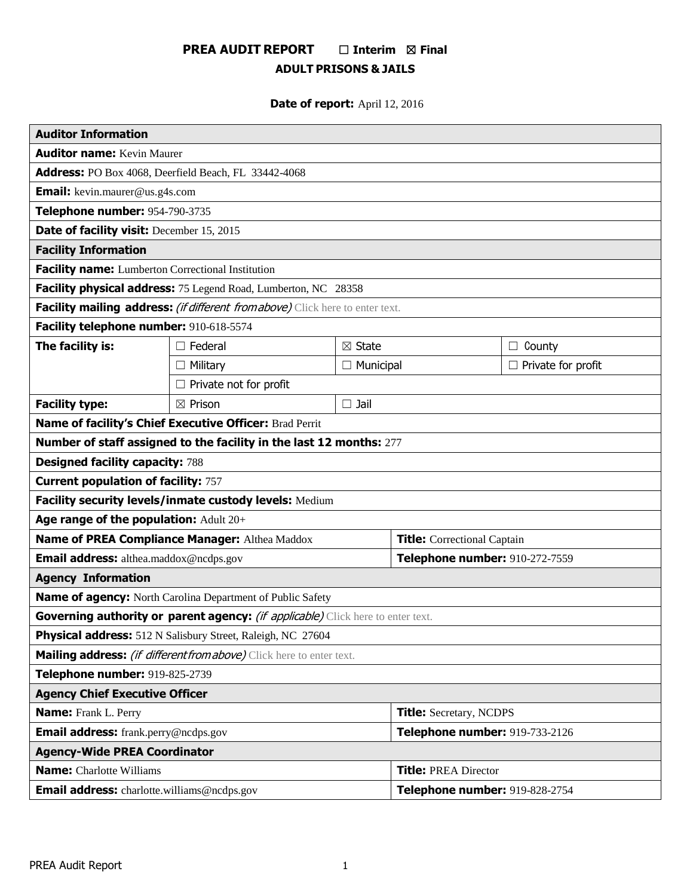# **PREA AUDIT REPORT** ☐ **Interim** ☒ **Final ADULT PRISONS & JAILS**

# **Date of report:** April 12, 2016

| <b>Auditor Information</b>                                                      |                               |                                |                                    |                           |
|---------------------------------------------------------------------------------|-------------------------------|--------------------------------|------------------------------------|---------------------------|
| <b>Auditor name: Kevin Maurer</b>                                               |                               |                                |                                    |                           |
| Address: PO Box 4068, Deerfield Beach, FL 33442-4068                            |                               |                                |                                    |                           |
| <b>Email:</b> kevin.maurer@us.g4s.com                                           |                               |                                |                                    |                           |
| Telephone number: 954-790-3735                                                  |                               |                                |                                    |                           |
| Date of facility visit: December 15, 2015                                       |                               |                                |                                    |                           |
| <b>Facility Information</b>                                                     |                               |                                |                                    |                           |
| Facility name: Lumberton Correctional Institution                               |                               |                                |                                    |                           |
| Facility physical address: 75 Legend Road, Lumberton, NC 28358                  |                               |                                |                                    |                           |
| Facility mailing address: (if different from above) Click here to enter text.   |                               |                                |                                    |                           |
| Facility telephone number: 910-618-5574                                         |                               |                                |                                    |                           |
| The facility is:                                                                | $\Box$ Federal                | $\boxtimes$ State              |                                    | County<br>$\Box$          |
|                                                                                 | $\Box$ Military               | $\Box$ Municipal               |                                    | $\Box$ Private for profit |
|                                                                                 | $\Box$ Private not for profit |                                |                                    |                           |
| <b>Facility type:</b>                                                           | $\boxtimes$ Prison            | $\square$ Jail                 |                                    |                           |
| Name of facility's Chief Executive Officer: Brad Perrit                         |                               |                                |                                    |                           |
| Number of staff assigned to the facility in the last 12 months: 277             |                               |                                |                                    |                           |
| <b>Designed facility capacity: 788</b>                                          |                               |                                |                                    |                           |
| <b>Current population of facility: 757</b>                                      |                               |                                |                                    |                           |
| Facility security levels/inmate custody levels: Medium                          |                               |                                |                                    |                           |
| Age range of the population: Adult 20+                                          |                               |                                |                                    |                           |
| Name of PREA Compliance Manager: Althea Maddox                                  |                               |                                | <b>Title:</b> Correctional Captain |                           |
| Email address: althea.maddox@ncdps.gov                                          |                               | Telephone number: 910-272-7559 |                                    |                           |
| <b>Agency Information</b>                                                       |                               |                                |                                    |                           |
| Name of agency: North Carolina Department of Public Safety                      |                               |                                |                                    |                           |
| Governing authority or parent agency: (if applicable) Click here to enter text. |                               |                                |                                    |                           |
| Physical address: 512 N Salisbury Street, Raleigh, NC 27604                     |                               |                                |                                    |                           |
| Mailing address: (if different from above) Click here to enter text.            |                               |                                |                                    |                           |
| Telephone number: 919-825-2739                                                  |                               |                                |                                    |                           |
| <b>Agency Chief Executive Officer</b>                                           |                               |                                |                                    |                           |
| <b>Name:</b> Frank L. Perry                                                     |                               |                                | <b>Title:</b> Secretary, NCDPS     |                           |
| <b>Email address:</b> frank.perry@ncdps.gov                                     |                               |                                | Telephone number: 919-733-2126     |                           |
| <b>Agency-Wide PREA Coordinator</b>                                             |                               |                                |                                    |                           |
| <b>Name:</b> Charlotte Williams                                                 |                               |                                | <b>Title: PREA Director</b>        |                           |
| <b>Email address:</b> charlotte.williams@ncdps.gov                              |                               |                                | Telephone number: 919-828-2754     |                           |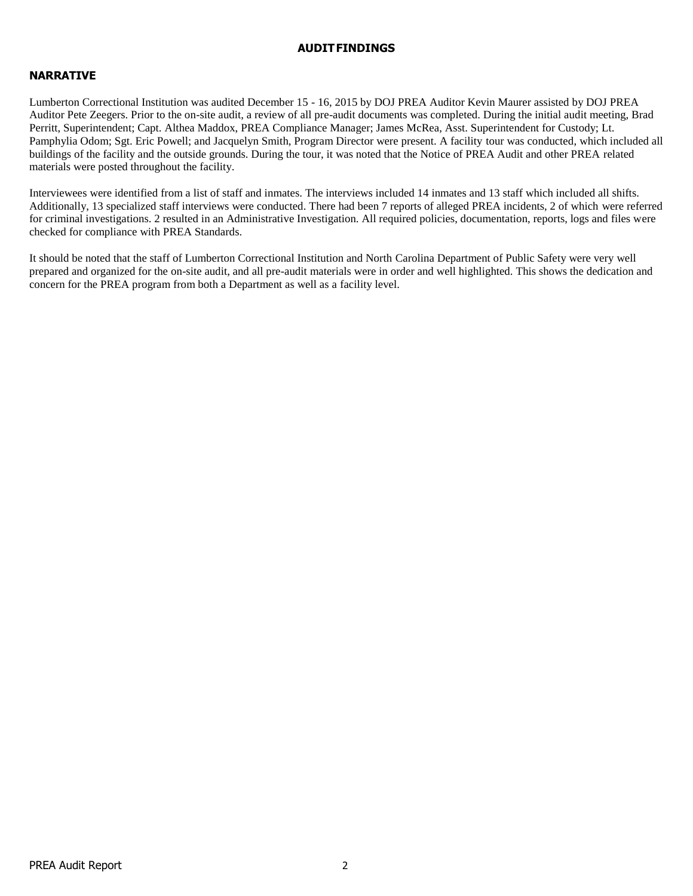#### **AUDITFINDINGS**

## **NARRATIVE**

Lumberton Correctional Institution was audited December 15 - 16, 2015 by DOJ PREA Auditor Kevin Maurer assisted by DOJ PREA Auditor Pete Zeegers. Prior to the on-site audit, a review of all pre-audit documents was completed. During the initial audit meeting, Brad Perritt, Superintendent; Capt. Althea Maddox, PREA Compliance Manager; James McRea, Asst. Superintendent for Custody; Lt. Pamphylia Odom; Sgt. Eric Powell; and Jacquelyn Smith, Program Director were present. A facility tour was conducted, which included all buildings of the facility and the outside grounds. During the tour, it was noted that the Notice of PREA Audit and other PREA related materials were posted throughout the facility.

Interviewees were identified from a list of staff and inmates. The interviews included 14 inmates and 13 staff which included all shifts. Additionally, 13 specialized staff interviews were conducted. There had been 7 reports of alleged PREA incidents, 2 of which were referred for criminal investigations. 2 resulted in an Administrative Investigation. All required policies, documentation, reports, logs and files were checked for compliance with PREA Standards.

It should be noted that the staff of Lumberton Correctional Institution and North Carolina Department of Public Safety were very well prepared and organized for the on-site audit, and all pre-audit materials were in order and well highlighted. This shows the dedication and concern for the PREA program from both a Department as well as a facility level.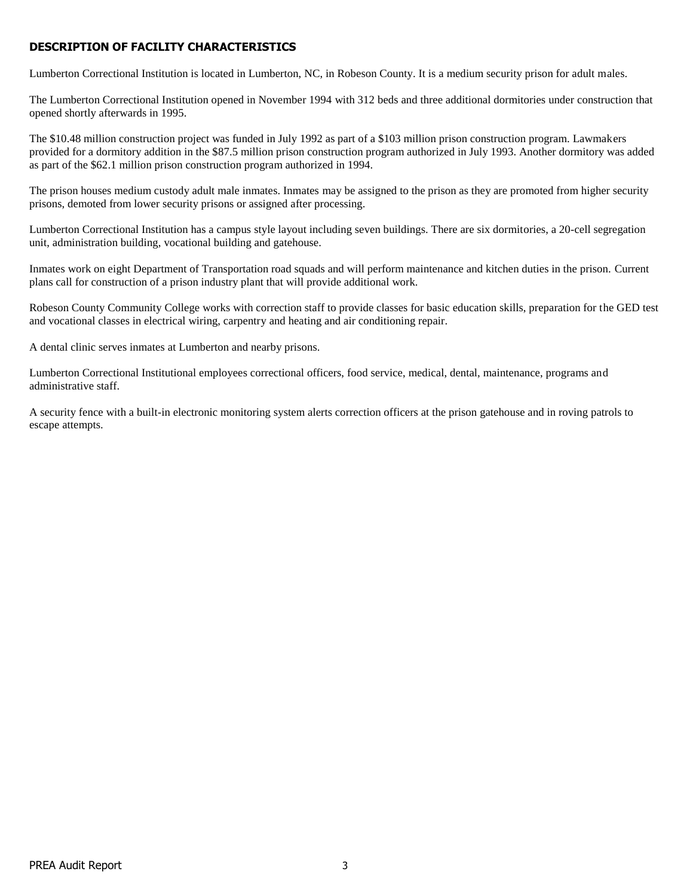# **DESCRIPTION OF FACILITY CHARACTERISTICS**

Lumberton Correctional Institution is located in Lumberton, NC, in Robeson County. It is a medium security prison for adult males.

The Lumberton Correctional Institution opened in November 1994 with 312 beds and three additional dormitories under construction that opened shortly afterwards in 1995.

The \$10.48 million construction project was funded in July 1992 as part of a \$103 million prison construction program. Lawmakers provided for a dormitory addition in the \$87.5 million prison construction program authorized in July 1993. Another dormitory was added as part of the \$62.1 million prison construction program authorized in 1994.

The prison houses medium custody adult male inmates. Inmates may be assigned to the prison as they are promoted from higher security prisons, demoted from lower security prisons or assigned after processing.

Lumberton Correctional Institution has a campus style layout including seven buildings. There are six dormitories, a 20-cell segregation unit, administration building, vocational building and gatehouse.

Inmates work on eight Department of Transportation road squads and will perform maintenance and kitchen duties in the prison. Current plans call for construction of a prison industry plant that will provide additional work.

Robeson County Community College works with correction staff to provide classes for basic education skills, preparation for the GED test and vocational classes in electrical wiring, carpentry and heating and air conditioning repair.

A dental clinic serves inmates at Lumberton and nearby prisons.

Lumberton Correctional Institutional employees correctional officers, food service, medical, dental, maintenance, programs and administrative staff.

A security fence with a built-in electronic monitoring system alerts correction officers at the prison gatehouse and in roving patrols to escape attempts.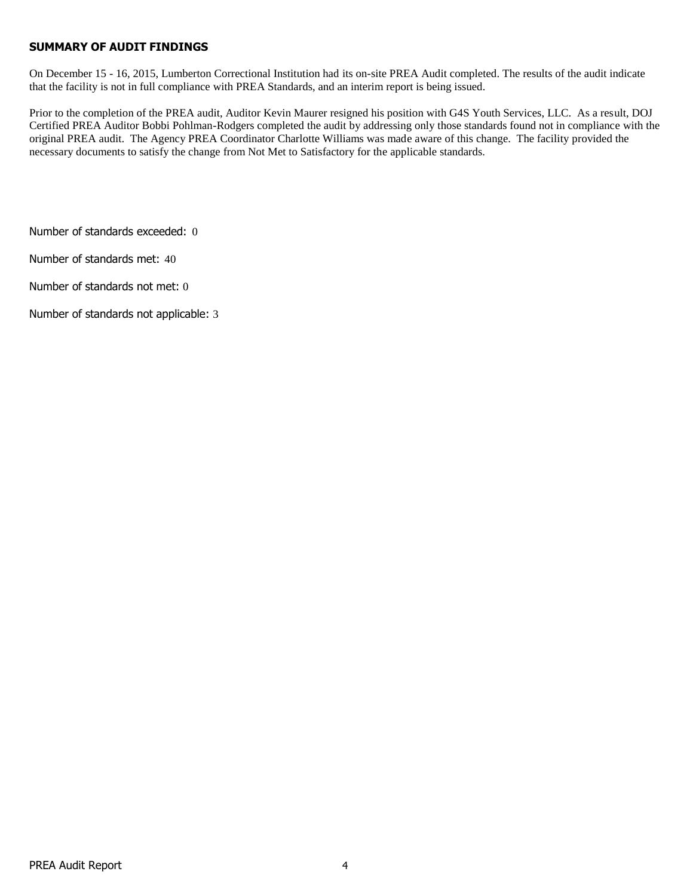## **SUMMARY OF AUDIT FINDINGS**

On December 15 - 16, 2015, Lumberton Correctional Institution had its on-site PREA Audit completed. The results of the audit indicate that the facility is not in full compliance with PREA Standards, and an interim report is being issued.

Prior to the completion of the PREA audit, Auditor Kevin Maurer resigned his position with G4S Youth Services, LLC. As a result, DOJ Certified PREA Auditor Bobbi Pohlman-Rodgers completed the audit by addressing only those standards found not in compliance with the original PREA audit. The Agency PREA Coordinator Charlotte Williams was made aware of this change. The facility provided the necessary documents to satisfy the change from Not Met to Satisfactory for the applicable standards.

Number of standards exceeded: 0

Number of standards met: 40

Number of standards not met: 0

Number of standards not applicable: 3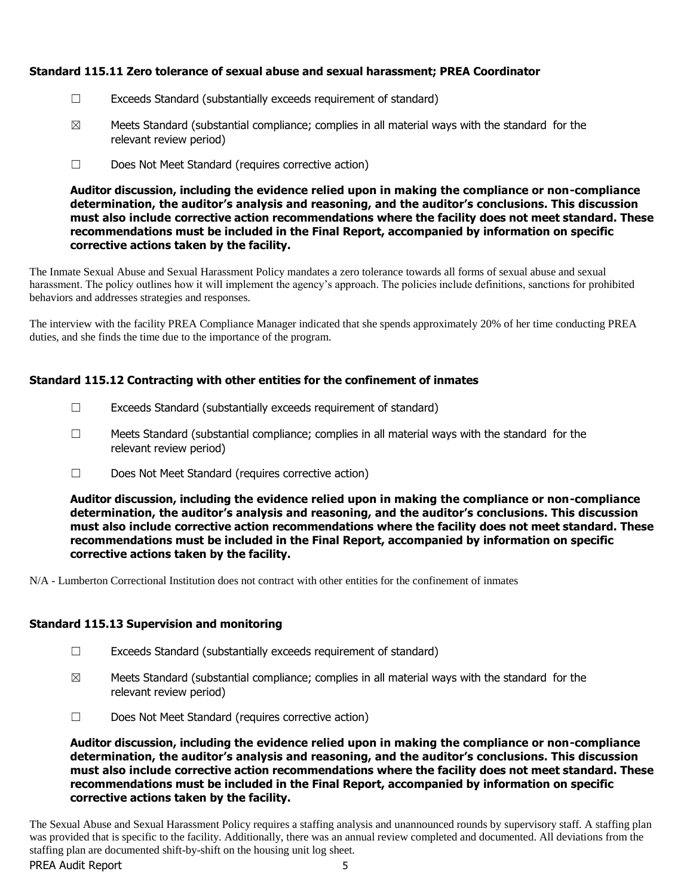# **Standard 115.11 Zero tolerance of sexual abuse and sexual harassment; PREA Coordinator**

- ☐ Exceeds Standard (substantially exceeds requirement of standard)
- $\boxtimes$  Meets Standard (substantial compliance; complies in all material ways with the standard for the relevant review period)
- ☐ Does Not Meet Standard (requires corrective action)

**Auditor discussion, including the evidence relied upon in making the compliance or non-compliance determination, the auditor's analysis and reasoning, and the auditor's conclusions. This discussion must also include corrective action recommendations where the facility does not meet standard. These recommendations must be included in the Final Report, accompanied by information on specific corrective actions taken by the facility.**

The Inmate Sexual Abuse and Sexual Harassment Policy mandates a zero tolerance towards all forms of sexual abuse and sexual harassment. The policy outlines how it will implement the agency's approach. The policies include definitions, sanctions for prohibited behaviors and addresses strategies and responses.

The interview with the facility PREA Compliance Manager indicated that she spends approximately 20% of her time conducting PREA duties, and she finds the time due to the importance of the program.

# **Standard 115.12 Contracting with other entities for the confinement of inmates**

- $\Box$  Exceeds Standard (substantially exceeds requirement of standard)
- $\Box$  Meets Standard (substantial compliance; complies in all material ways with the standard for the relevant review period)
- ☐ Does Not Meet Standard (requires corrective action)

**Auditor discussion, including the evidence relied upon in making the compliance or non-compliance determination, the auditor's analysis and reasoning, and the auditor's conclusions. This discussion must also include corrective action recommendations where the facility does not meet standard. These recommendations must be included in the Final Report, accompanied by information on specific corrective actions taken by the facility.**

N/A - Lumberton Correctional Institution does not contract with other entities for the confinement of inmates

## **Standard 115.13 Supervision and monitoring**

- $\Box$  Exceeds Standard (substantially exceeds requirement of standard)
- $\boxtimes$  Meets Standard (substantial compliance; complies in all material ways with the standard for the relevant review period)
- ☐ Does Not Meet Standard (requires corrective action)

**Auditor discussion, including the evidence relied upon in making the compliance or non-compliance determination, the auditor's analysis and reasoning, and the auditor's conclusions. This discussion must also include corrective action recommendations where the facility does not meet standard. These recommendations must be included in the Final Report, accompanied by information on specific corrective actions taken by the facility.**

PREA Audit Report The Sexual Abuse and Sexual Harassment Policy requires a staffing analysis and unannounced rounds by supervisory staff. A staffing plan was provided that is specific to the facility. Additionally, there was an annual review completed and documented. All deviations from the staffing plan are documented shift-by-shift on the housing unit log sheet.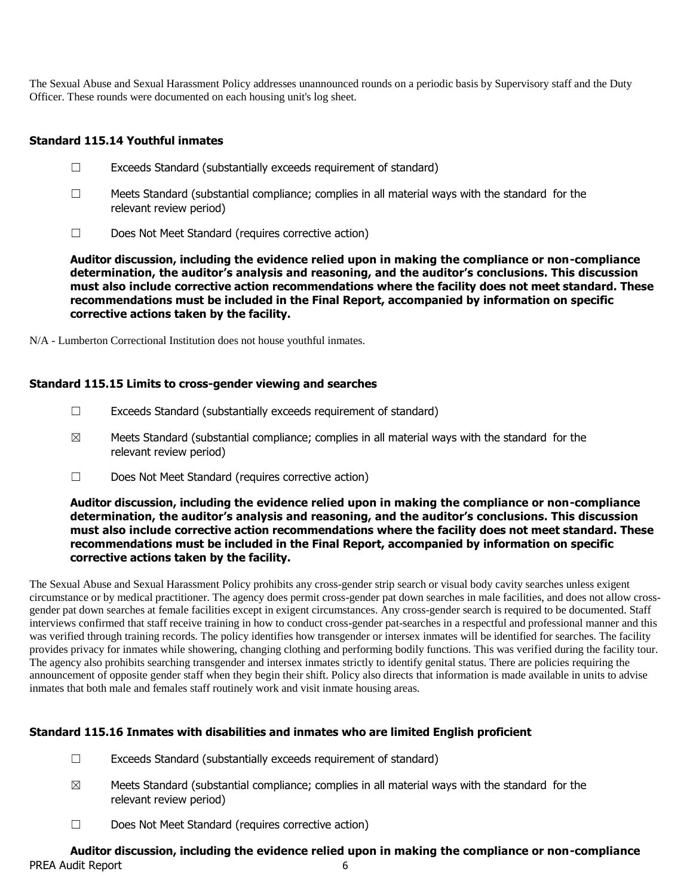The Sexual Abuse and Sexual Harassment Policy addresses unannounced rounds on a periodic basis by Supervisory staff and the Duty Officer. These rounds were documented on each housing unit's log sheet.

## **Standard 115.14 Youthful inmates**

- ☐ Exceeds Standard (substantially exceeds requirement of standard)
- $\Box$  Meets Standard (substantial compliance; complies in all material ways with the standard for the relevant review period)
- ☐ Does Not Meet Standard (requires corrective action)

**Auditor discussion, including the evidence relied upon in making the compliance or non-compliance determination, the auditor's analysis and reasoning, and the auditor's conclusions. This discussion must also include corrective action recommendations where the facility does not meet standard. These recommendations must be included in the Final Report, accompanied by information on specific corrective actions taken by the facility.**

N/A - Lumberton Correctional Institution does not house youthful inmates.

## **Standard 115.15 Limits to cross-gender viewing and searches**

- ☐ Exceeds Standard (substantially exceeds requirement of standard)
- $\boxtimes$  Meets Standard (substantial compliance; complies in all material ways with the standard for the relevant review period)
- ☐ Does Not Meet Standard (requires corrective action)

**Auditor discussion, including the evidence relied upon in making the compliance or non-compliance determination, the auditor's analysis and reasoning, and the auditor's conclusions. This discussion must also include corrective action recommendations where the facility does not meet standard. These recommendations must be included in the Final Report, accompanied by information on specific corrective actions taken by the facility.**

The Sexual Abuse and Sexual Harassment Policy prohibits any cross-gender strip search or visual body cavity searches unless exigent circumstance or by medical practitioner. The agency does permit cross-gender pat down searches in male facilities, and does not allow crossgender pat down searches at female facilities except in exigent circumstances. Any cross-gender search is required to be documented. Staff interviews confirmed that staff receive training in how to conduct cross-gender pat-searches in a respectful and professional manner and this was verified through training records. The policy identifies how transgender or intersex inmates will be identified for searches. The facility provides privacy for inmates while showering, changing clothing and performing bodily functions. This was verified during the facility tour. The agency also prohibits searching transgender and intersex inmates strictly to identify genital status. There are policies requiring the announcement of opposite gender staff when they begin their shift. Policy also directs that information is made available in units to advise inmates that both male and females staff routinely work and visit inmate housing areas.

# **Standard 115.16 Inmates with disabilities and inmates who are limited English proficient**

- ☐ Exceeds Standard (substantially exceeds requirement of standard)
- $\boxtimes$  Meets Standard (substantial compliance; complies in all material ways with the standard for the relevant review period)
- ☐ Does Not Meet Standard (requires corrective action)

# PREA Audit Report 6 **Auditor discussion, including the evidence relied upon in making the compliance or non-compliance**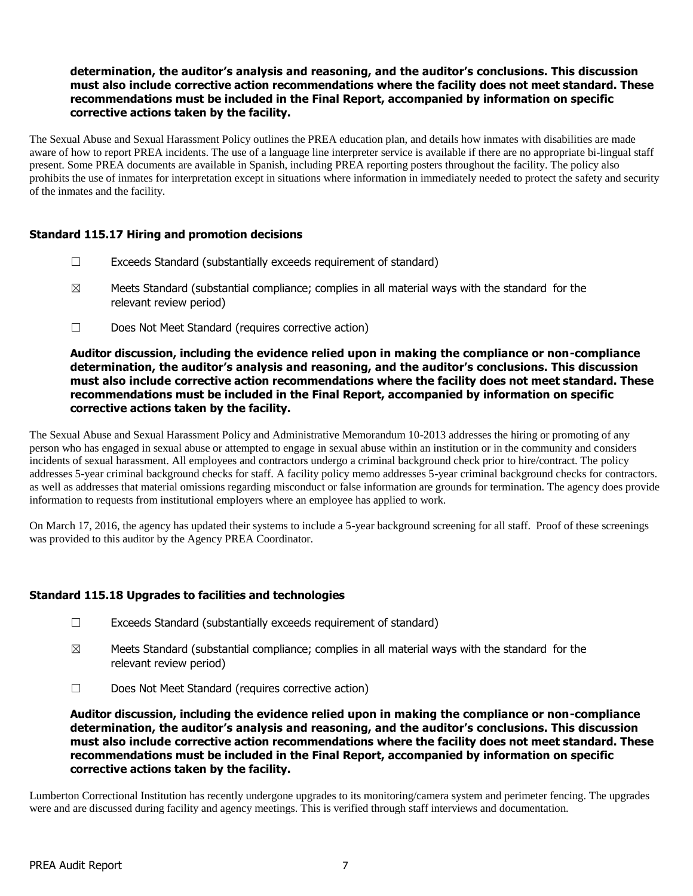## **determination, the auditor's analysis and reasoning, and the auditor's conclusions. This discussion must also include corrective action recommendations where the facility does not meet standard. These recommendations must be included in the Final Report, accompanied by information on specific corrective actions taken by the facility.**

The Sexual Abuse and Sexual Harassment Policy outlines the PREA education plan, and details how inmates with disabilities are made aware of how to report PREA incidents. The use of a language line interpreter service is available if there are no appropriate bi-lingual staff present. Some PREA documents are available in Spanish, including PREA reporting posters throughout the facility. The policy also prohibits the use of inmates for interpretation except in situations where information in immediately needed to protect the safety and security of the inmates and the facility.

## **Standard 115.17 Hiring and promotion decisions**

- $\Box$  Exceeds Standard (substantially exceeds requirement of standard)
- $\boxtimes$  Meets Standard (substantial compliance; complies in all material ways with the standard for the relevant review period)
- ☐ Does Not Meet Standard (requires corrective action)

#### **Auditor discussion, including the evidence relied upon in making the compliance or non-compliance determination, the auditor's analysis and reasoning, and the auditor's conclusions. This discussion must also include corrective action recommendations where the facility does not meet standard. These recommendations must be included in the Final Report, accompanied by information on specific corrective actions taken by the facility.**

The Sexual Abuse and Sexual Harassment Policy and Administrative Memorandum 10-2013 addresses the hiring or promoting of any person who has engaged in sexual abuse or attempted to engage in sexual abuse within an institution or in the community and considers incidents of sexual harassment. All employees and contractors undergo a criminal background check prior to hire/contract. The policy addresses 5-year criminal background checks for staff. A facility policy memo addresses 5-year criminal background checks for contractors. as well as addresses that material omissions regarding misconduct or false information are grounds for termination. The agency does provide information to requests from institutional employers where an employee has applied to work.

On March 17, 2016, the agency has updated their systems to include a 5-year background screening for all staff. Proof of these screenings was provided to this auditor by the Agency PREA Coordinator.

## **Standard 115.18 Upgrades to facilities and technologies**

- $\Box$  Exceeds Standard (substantially exceeds requirement of standard)
- $\boxtimes$  Meets Standard (substantial compliance; complies in all material ways with the standard for the relevant review period)
- ☐ Does Not Meet Standard (requires corrective action)

**Auditor discussion, including the evidence relied upon in making the compliance or non-compliance determination, the auditor's analysis and reasoning, and the auditor's conclusions. This discussion must also include corrective action recommendations where the facility does not meet standard. These recommendations must be included in the Final Report, accompanied by information on specific corrective actions taken by the facility.**

Lumberton Correctional Institution has recently undergone upgrades to its monitoring/camera system and perimeter fencing. The upgrades were and are discussed during facility and agency meetings. This is verified through staff interviews and documentation.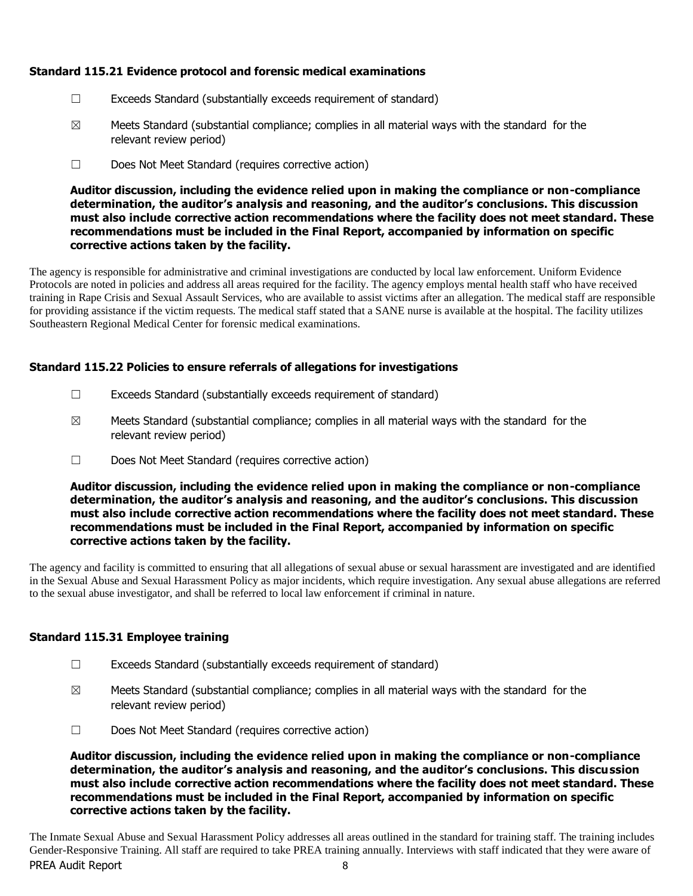# **Standard 115.21 Evidence protocol and forensic medical examinations**

- ☐ Exceeds Standard (substantially exceeds requirement of standard)
- $\boxtimes$  Meets Standard (substantial compliance; complies in all material ways with the standard for the relevant review period)
- ☐ Does Not Meet Standard (requires corrective action)

**Auditor discussion, including the evidence relied upon in making the compliance or non-compliance determination, the auditor's analysis and reasoning, and the auditor's conclusions. This discussion must also include corrective action recommendations where the facility does not meet standard. These recommendations must be included in the Final Report, accompanied by information on specific corrective actions taken by the facility.**

The agency is responsible for administrative and criminal investigations are conducted by local law enforcement. Uniform Evidence Protocols are noted in policies and address all areas required for the facility. The agency employs mental health staff who have received training in Rape Crisis and Sexual Assault Services, who are available to assist victims after an allegation. The medical staff are responsible for providing assistance if the victim requests. The medical staff stated that a SANE nurse is available at the hospital. The facility utilizes Southeastern Regional Medical Center for forensic medical examinations.

# **Standard 115.22 Policies to ensure referrals of allegations for investigations**

- $\Box$  Exceeds Standard (substantially exceeds requirement of standard)
- $\boxtimes$  Meets Standard (substantial compliance; complies in all material ways with the standard for the relevant review period)
- ☐ Does Not Meet Standard (requires corrective action)

**Auditor discussion, including the evidence relied upon in making the compliance or non-compliance determination, the auditor's analysis and reasoning, and the auditor's conclusions. This discussion must also include corrective action recommendations where the facility does not meet standard. These recommendations must be included in the Final Report, accompanied by information on specific corrective actions taken by the facility.**

The agency and facility is committed to ensuring that all allegations of sexual abuse or sexual harassment are investigated and are identified in the Sexual Abuse and Sexual Harassment Policy as major incidents, which require investigation. Any sexual abuse allegations are referred to the sexual abuse investigator, and shall be referred to local law enforcement if criminal in nature.

## **Standard 115.31 Employee training**

- $\Box$  Exceeds Standard (substantially exceeds requirement of standard)
- $\boxtimes$  Meets Standard (substantial compliance; complies in all material ways with the standard for the relevant review period)
- ☐ Does Not Meet Standard (requires corrective action)

**Auditor discussion, including the evidence relied upon in making the compliance or non-compliance determination, the auditor's analysis and reasoning, and the auditor's conclusions. This discussion must also include corrective action recommendations where the facility does not meet standard. These recommendations must be included in the Final Report, accompanied by information on specific corrective actions taken by the facility.**

PREA Audit Report 8 The Inmate Sexual Abuse and Sexual Harassment Policy addresses all areas outlined in the standard for training staff. The training includes Gender-Responsive Training. All staff are required to take PREA training annually. Interviews with staff indicated that they were aware of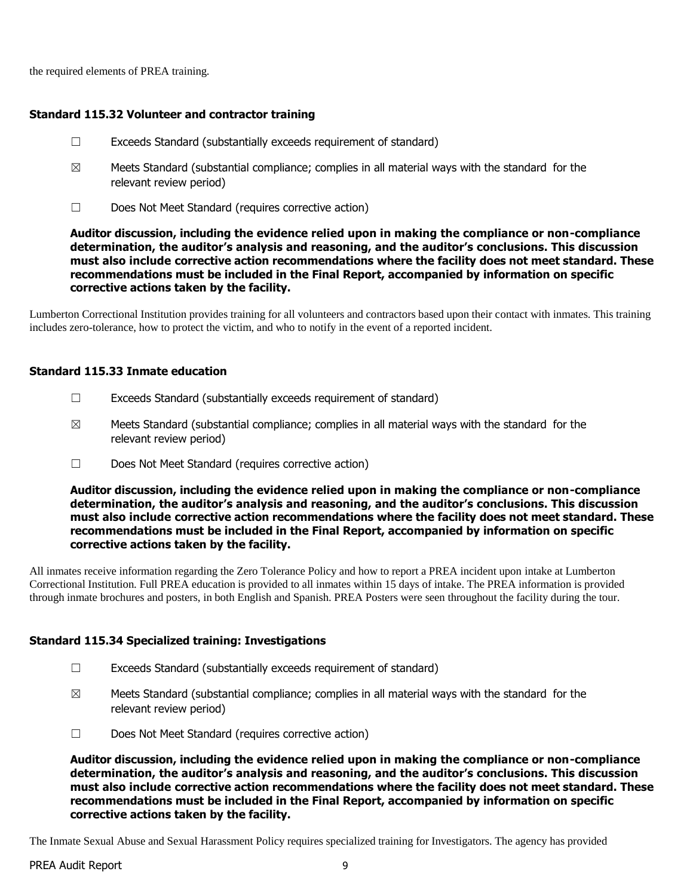the required elements of PREA training.

## **Standard 115.32 Volunteer and contractor training**

- $\Box$  Exceeds Standard (substantially exceeds requirement of standard)
- $\boxtimes$  Meets Standard (substantial compliance; complies in all material ways with the standard for the relevant review period)
- ☐ Does Not Meet Standard (requires corrective action)

**Auditor discussion, including the evidence relied upon in making the compliance or non-compliance determination, the auditor's analysis and reasoning, and the auditor's conclusions. This discussion must also include corrective action recommendations where the facility does not meet standard. These recommendations must be included in the Final Report, accompanied by information on specific corrective actions taken by the facility.**

Lumberton Correctional Institution provides training for all volunteers and contractors based upon their contact with inmates. This training includes zero-tolerance, how to protect the victim, and who to notify in the event of a reported incident.

#### **Standard 115.33 Inmate education**

- ☐ Exceeds Standard (substantially exceeds requirement of standard)
- $\boxtimes$  Meets Standard (substantial compliance; complies in all material ways with the standard for the relevant review period)
- ☐ Does Not Meet Standard (requires corrective action)

**Auditor discussion, including the evidence relied upon in making the compliance or non-compliance determination, the auditor's analysis and reasoning, and the auditor's conclusions. This discussion must also include corrective action recommendations where the facility does not meet standard. These recommendations must be included in the Final Report, accompanied by information on specific corrective actions taken by the facility.**

All inmates receive information regarding the Zero Tolerance Policy and how to report a PREA incident upon intake at Lumberton Correctional Institution. Full PREA education is provided to all inmates within 15 days of intake. The PREA information is provided through inmate brochures and posters, in both English and Spanish. PREA Posters were seen throughout the facility during the tour.

#### **Standard 115.34 Specialized training: Investigations**

- ☐ Exceeds Standard (substantially exceeds requirement of standard)
- $\boxtimes$  Meets Standard (substantial compliance; complies in all material ways with the standard for the relevant review period)
- ☐ Does Not Meet Standard (requires corrective action)

**Auditor discussion, including the evidence relied upon in making the compliance or non-compliance determination, the auditor's analysis and reasoning, and the auditor's conclusions. This discussion must also include corrective action recommendations where the facility does not meet standard. These recommendations must be included in the Final Report, accompanied by information on specific corrective actions taken by the facility.**

The Inmate Sexual Abuse and Sexual Harassment Policy requires specialized training for Investigators. The agency has provided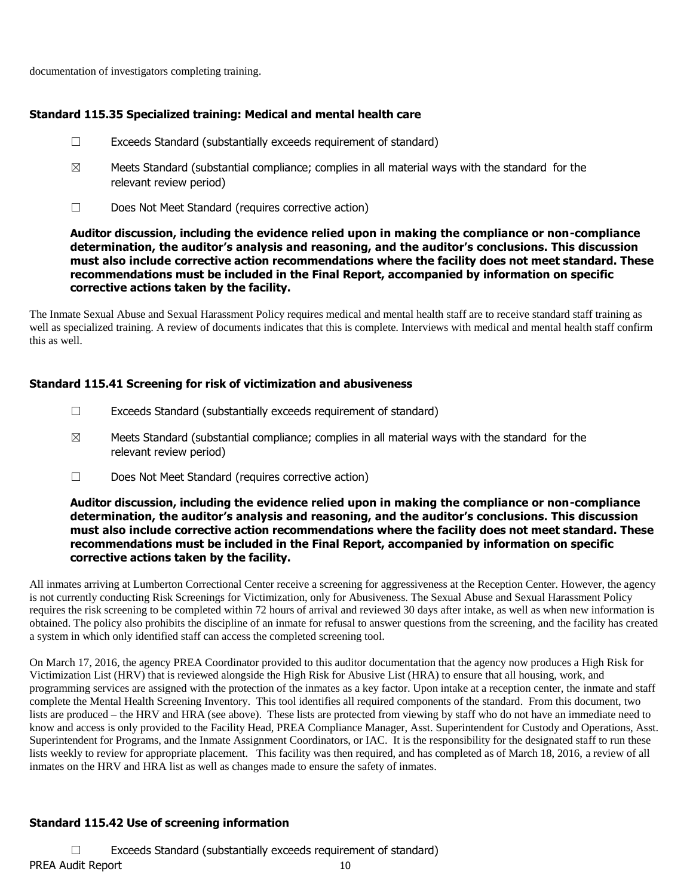documentation of investigators completing training.

## **Standard 115.35 Specialized training: Medical and mental health care**

- $\Box$  Exceeds Standard (substantially exceeds requirement of standard)
- $\boxtimes$  Meets Standard (substantial compliance; complies in all material ways with the standard for the relevant review period)
- ☐ Does Not Meet Standard (requires corrective action)

#### **Auditor discussion, including the evidence relied upon in making the compliance or non-compliance determination, the auditor's analysis and reasoning, and the auditor's conclusions. This discussion must also include corrective action recommendations where the facility does not meet standard. These recommendations must be included in the Final Report, accompanied by information on specific corrective actions taken by the facility.**

The Inmate Sexual Abuse and Sexual Harassment Policy requires medical and mental health staff are to receive standard staff training as well as specialized training. A review of documents indicates that this is complete. Interviews with medical and mental health staff confirm this as well.

## **Standard 115.41 Screening for risk of victimization and abusiveness**

- $\Box$  Exceeds Standard (substantially exceeds requirement of standard)
- $\boxtimes$  Meets Standard (substantial compliance; complies in all material ways with the standard for the relevant review period)
- ☐ Does Not Meet Standard (requires corrective action)

#### **Auditor discussion, including the evidence relied upon in making the compliance or non-compliance determination, the auditor's analysis and reasoning, and the auditor's conclusions. This discussion must also include corrective action recommendations where the facility does not meet standard. These recommendations must be included in the Final Report, accompanied by information on specific corrective actions taken by the facility.**

All inmates arriving at Lumberton Correctional Center receive a screening for aggressiveness at the Reception Center. However, the agency is not currently conducting Risk Screenings for Victimization, only for Abusiveness. The Sexual Abuse and Sexual Harassment Policy requires the risk screening to be completed within 72 hours of arrival and reviewed 30 days after intake, as well as when new information is obtained. The policy also prohibits the discipline of an inmate for refusal to answer questions from the screening, and the facility has created a system in which only identified staff can access the completed screening tool.

On March 17, 2016, the agency PREA Coordinator provided to this auditor documentation that the agency now produces a High Risk for Victimization List (HRV) that is reviewed alongside the High Risk for Abusive List (HRA) to ensure that all housing, work, and programming services are assigned with the protection of the inmates as a key factor. Upon intake at a reception center, the inmate and staff complete the Mental Health Screening Inventory. This tool identifies all required components of the standard. From this document, two lists are produced – the HRV and HRA (see above). These lists are protected from viewing by staff who do not have an immediate need to know and access is only provided to the Facility Head, PREA Compliance Manager, Asst. Superintendent for Custody and Operations, Asst. Superintendent for Programs, and the Inmate Assignment Coordinators, or IAC. It is the responsibility for the designated staff to run these lists weekly to review for appropriate placement. This facility was then required, and has completed as of March 18, 2016, a review of all inmates on the HRV and HRA list as well as changes made to ensure the safety of inmates.

# **Standard 115.42 Use of screening information**

PREA Audit Report 10 ☐ Exceeds Standard (substantially exceeds requirement of standard)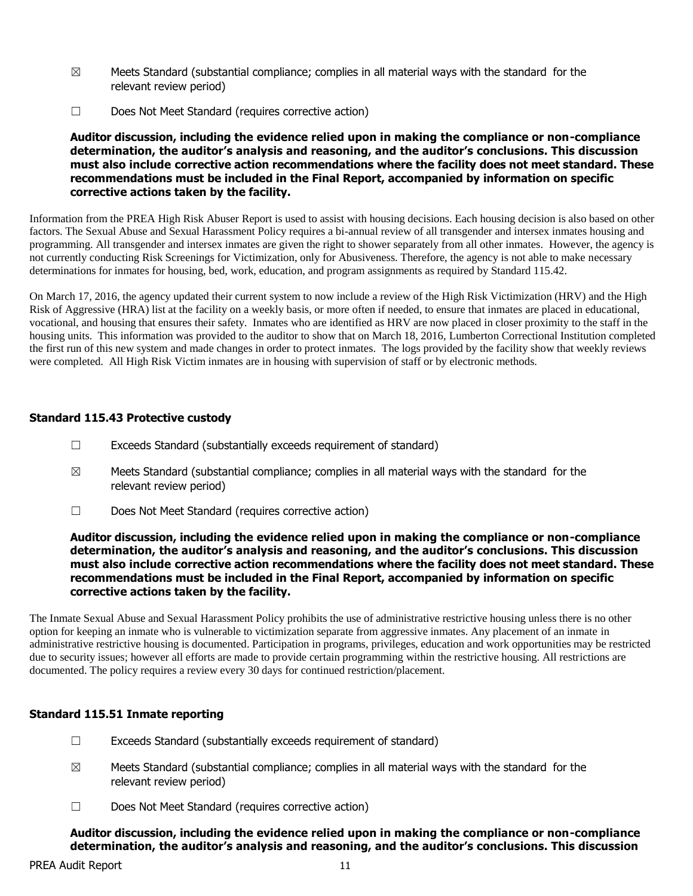- $\boxtimes$  Meets Standard (substantial compliance; complies in all material ways with the standard for the relevant review period)
- ☐ Does Not Meet Standard (requires corrective action)

**Auditor discussion, including the evidence relied upon in making the compliance or non-compliance determination, the auditor's analysis and reasoning, and the auditor's conclusions. This discussion must also include corrective action recommendations where the facility does not meet standard. These recommendations must be included in the Final Report, accompanied by information on specific corrective actions taken by the facility.**

Information from the PREA High Risk Abuser Report is used to assist with housing decisions. Each housing decision is also based on other factors. The Sexual Abuse and Sexual Harassment Policy requires a bi-annual review of all transgender and intersex inmates housing and programming. All transgender and intersex inmates are given the right to shower separately from all other inmates. However, the agency is not currently conducting Risk Screenings for Victimization, only for Abusiveness. Therefore, the agency is not able to make necessary determinations for inmates for housing, bed, work, education, and program assignments as required by Standard 115.42.

On March 17, 2016, the agency updated their current system to now include a review of the High Risk Victimization (HRV) and the High Risk of Aggressive (HRA) list at the facility on a weekly basis, or more often if needed, to ensure that inmates are placed in educational, vocational, and housing that ensures their safety. Inmates who are identified as HRV are now placed in closer proximity to the staff in the housing units. This information was provided to the auditor to show that on March 18, 2016, Lumberton Correctional Institution completed the first run of this new system and made changes in order to protect inmates. The logs provided by the facility show that weekly reviews were completed. All High Risk Victim inmates are in housing with supervision of staff or by electronic methods.

## **Standard 115.43 Protective custody**

- $\Box$  Exceeds Standard (substantially exceeds requirement of standard)
- $\boxtimes$  Meets Standard (substantial compliance; complies in all material ways with the standard for the relevant review period)
- ☐ Does Not Meet Standard (requires corrective action)

#### **Auditor discussion, including the evidence relied upon in making the compliance or non-compliance determination, the auditor's analysis and reasoning, and the auditor's conclusions. This discussion must also include corrective action recommendations where the facility does not meet standard. These recommendations must be included in the Final Report, accompanied by information on specific corrective actions taken by the facility.**

The Inmate Sexual Abuse and Sexual Harassment Policy prohibits the use of administrative restrictive housing unless there is no other option for keeping an inmate who is vulnerable to victimization separate from aggressive inmates. Any placement of an inmate in administrative restrictive housing is documented. Participation in programs, privileges, education and work opportunities may be restricted due to security issues; however all efforts are made to provide certain programming within the restrictive housing. All restrictions are documented. The policy requires a review every 30 days for continued restriction/placement.

## **Standard 115.51 Inmate reporting**

- ☐ Exceeds Standard (substantially exceeds requirement of standard)
- $\boxtimes$  Meets Standard (substantial compliance; complies in all material ways with the standard for the relevant review period)
- ☐ Does Not Meet Standard (requires corrective action)

**Auditor discussion, including the evidence relied upon in making the compliance or non-compliance determination, the auditor's analysis and reasoning, and the auditor's conclusions. This discussion**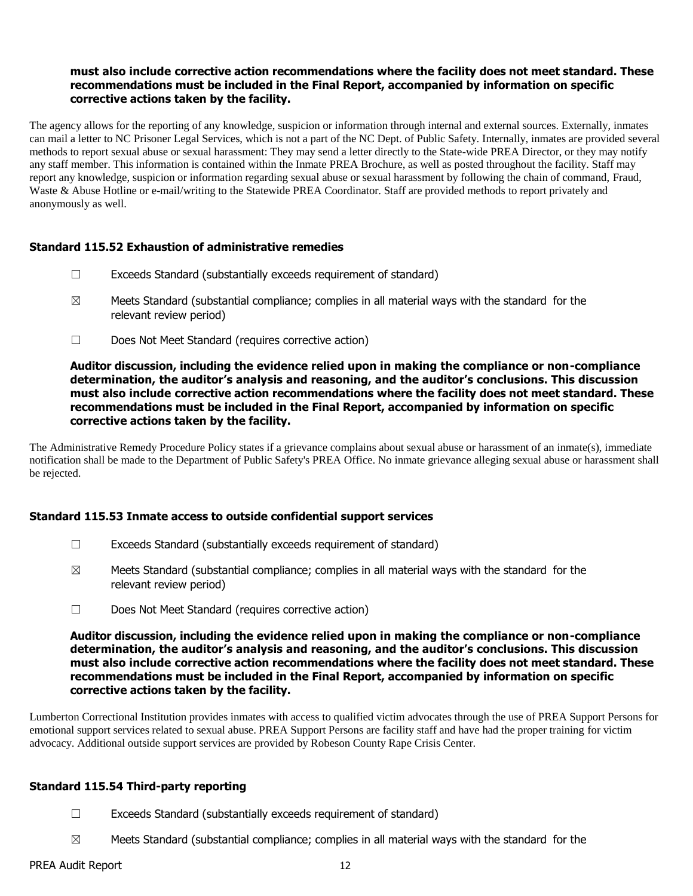#### **must also include corrective action recommendations where the facility does not meet standard. These recommendations must be included in the Final Report, accompanied by information on specific corrective actions taken by the facility.**

The agency allows for the reporting of any knowledge, suspicion or information through internal and external sources. Externally, inmates can mail a letter to NC Prisoner Legal Services, which is not a part of the NC Dept. of Public Safety. Internally, inmates are provided several methods to report sexual abuse or sexual harassment: They may send a letter directly to the State-wide PREA Director, or they may notify any staff member. This information is contained within the Inmate PREA Brochure, as well as posted throughout the facility. Staff may report any knowledge, suspicion or information regarding sexual abuse or sexual harassment by following the chain of command, Fraud, Waste & Abuse Hotline or e-mail/writing to the Statewide PREA Coordinator. Staff are provided methods to report privately and anonymously as well.

#### **Standard 115.52 Exhaustion of administrative remedies**

- ☐ Exceeds Standard (substantially exceeds requirement of standard)
- $\boxtimes$  Meets Standard (substantial compliance; complies in all material ways with the standard for the relevant review period)
- ☐ Does Not Meet Standard (requires corrective action)

#### **Auditor discussion, including the evidence relied upon in making the compliance or non-compliance determination, the auditor's analysis and reasoning, and the auditor's conclusions. This discussion must also include corrective action recommendations where the facility does not meet standard. These recommendations must be included in the Final Report, accompanied by information on specific corrective actions taken by the facility.**

The Administrative Remedy Procedure Policy states if a grievance complains about sexual abuse or harassment of an inmate(s), immediate notification shall be made to the Department of Public Safety's PREA Office. No inmate grievance alleging sexual abuse or harassment shall be rejected.

## **Standard 115.53 Inmate access to outside confidential support services**

- ☐ Exceeds Standard (substantially exceeds requirement of standard)
- $\boxtimes$  Meets Standard (substantial compliance; complies in all material ways with the standard for the relevant review period)
- ☐ Does Not Meet Standard (requires corrective action)

**Auditor discussion, including the evidence relied upon in making the compliance or non-compliance determination, the auditor's analysis and reasoning, and the auditor's conclusions. This discussion must also include corrective action recommendations where the facility does not meet standard. These recommendations must be included in the Final Report, accompanied by information on specific corrective actions taken by the facility.**

Lumberton Correctional Institution provides inmates with access to qualified victim advocates through the use of PREA Support Persons for emotional support services related to sexual abuse. PREA Support Persons are facility staff and have had the proper training for victim advocacy. Additional outside support services are provided by Robeson County Rape Crisis Center.

## **Standard 115.54 Third-party reporting**

- ☐ Exceeds Standard (substantially exceeds requirement of standard)
- $\boxtimes$  Meets Standard (substantial compliance; complies in all material ways with the standard for the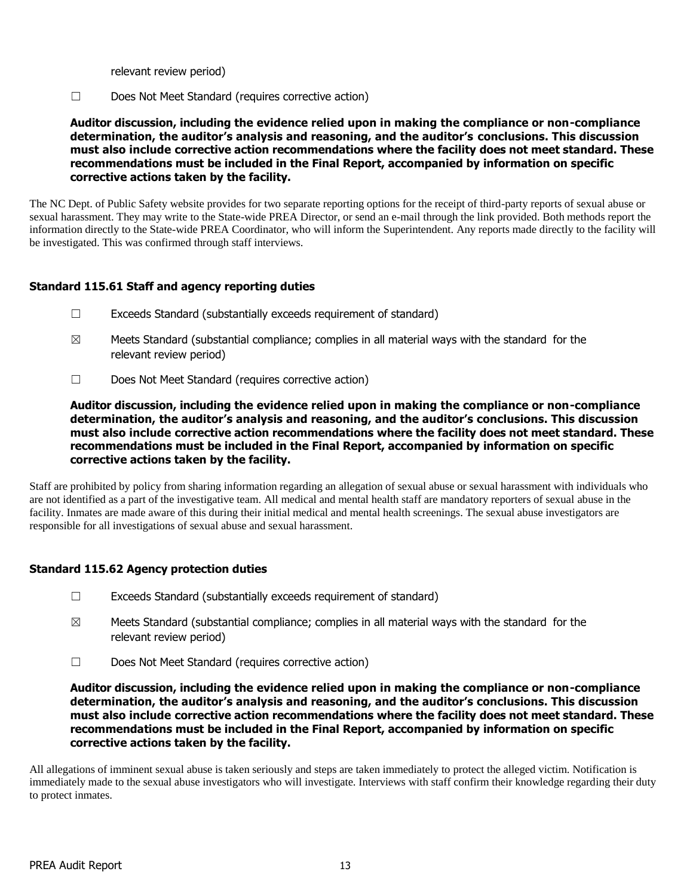relevant review period)

☐ Does Not Meet Standard (requires corrective action)

**Auditor discussion, including the evidence relied upon in making the compliance or non-compliance determination, the auditor's analysis and reasoning, and the auditor's conclusions. This discussion must also include corrective action recommendations where the facility does not meet standard. These recommendations must be included in the Final Report, accompanied by information on specific corrective actions taken by the facility.**

The NC Dept. of Public Safety website provides for two separate reporting options for the receipt of third-party reports of sexual abuse or sexual harassment. They may write to the State-wide PREA Director, or send an e-mail through the link provided. Both methods report the information directly to the State-wide PREA Coordinator, who will inform the Superintendent. Any reports made directly to the facility will be investigated. This was confirmed through staff interviews.

## **Standard 115.61 Staff and agency reporting duties**

- ☐ Exceeds Standard (substantially exceeds requirement of standard)
- $\boxtimes$  Meets Standard (substantial compliance; complies in all material ways with the standard for the relevant review period)
- ☐ Does Not Meet Standard (requires corrective action)

**Auditor discussion, including the evidence relied upon in making the compliance or non-compliance determination, the auditor's analysis and reasoning, and the auditor's conclusions. This discussion must also include corrective action recommendations where the facility does not meet standard. These recommendations must be included in the Final Report, accompanied by information on specific corrective actions taken by the facility.**

Staff are prohibited by policy from sharing information regarding an allegation of sexual abuse or sexual harassment with individuals who are not identified as a part of the investigative team. All medical and mental health staff are mandatory reporters of sexual abuse in the facility. Inmates are made aware of this during their initial medical and mental health screenings. The sexual abuse investigators are responsible for all investigations of sexual abuse and sexual harassment.

## **Standard 115.62 Agency protection duties**

- ☐ Exceeds Standard (substantially exceeds requirement of standard)
- $\boxtimes$  Meets Standard (substantial compliance; complies in all material ways with the standard for the relevant review period)
- ☐ Does Not Meet Standard (requires corrective action)

**Auditor discussion, including the evidence relied upon in making the compliance or non-compliance determination, the auditor's analysis and reasoning, and the auditor's conclusions. This discussion must also include corrective action recommendations where the facility does not meet standard. These recommendations must be included in the Final Report, accompanied by information on specific corrective actions taken by the facility.**

All allegations of imminent sexual abuse is taken seriously and steps are taken immediately to protect the alleged victim. Notification is immediately made to the sexual abuse investigators who will investigate. Interviews with staff confirm their knowledge regarding their duty to protect inmates.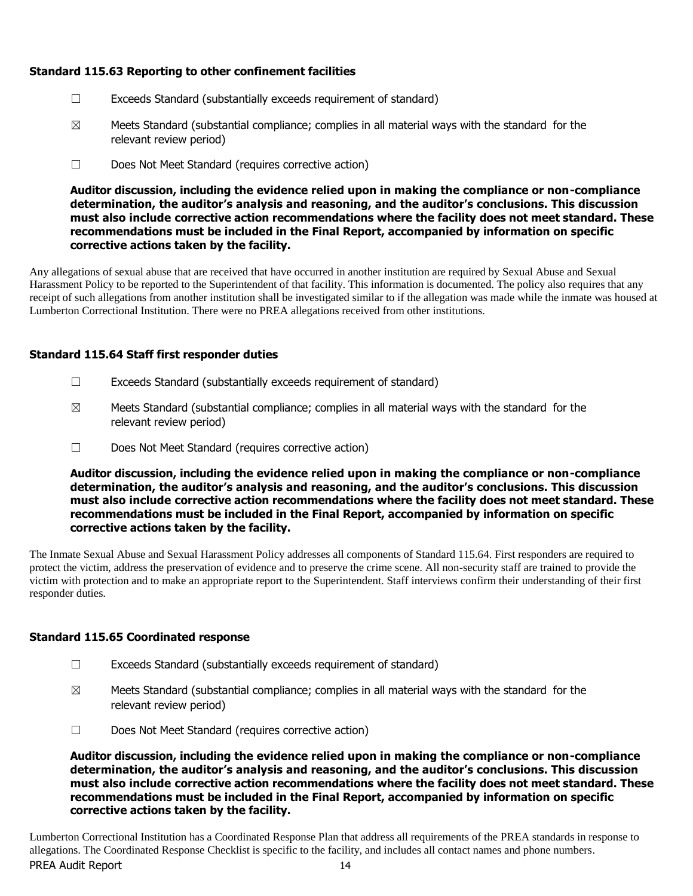# **Standard 115.63 Reporting to other confinement facilities**

- ☐ Exceeds Standard (substantially exceeds requirement of standard)
- $\boxtimes$  Meets Standard (substantial compliance; complies in all material ways with the standard for the relevant review period)
- ☐ Does Not Meet Standard (requires corrective action)

**Auditor discussion, including the evidence relied upon in making the compliance or non-compliance determination, the auditor's analysis and reasoning, and the auditor's conclusions. This discussion must also include corrective action recommendations where the facility does not meet standard. These recommendations must be included in the Final Report, accompanied by information on specific corrective actions taken by the facility.**

Any allegations of sexual abuse that are received that have occurred in another institution are required by Sexual Abuse and Sexual Harassment Policy to be reported to the Superintendent of that facility. This information is documented. The policy also requires that any receipt of such allegations from another institution shall be investigated similar to if the allegation was made while the inmate was housed at Lumberton Correctional Institution. There were no PREA allegations received from other institutions.

# **Standard 115.64 Staff first responder duties**

- $\Box$  Exceeds Standard (substantially exceeds requirement of standard)
- $\boxtimes$  Meets Standard (substantial compliance; complies in all material ways with the standard for the relevant review period)
- ☐ Does Not Meet Standard (requires corrective action)

**Auditor discussion, including the evidence relied upon in making the compliance or non-compliance determination, the auditor's analysis and reasoning, and the auditor's conclusions. This discussion must also include corrective action recommendations where the facility does not meet standard. These recommendations must be included in the Final Report, accompanied by information on specific corrective actions taken by the facility.**

The Inmate Sexual Abuse and Sexual Harassment Policy addresses all components of Standard 115.64. First responders are required to protect the victim, address the preservation of evidence and to preserve the crime scene. All non-security staff are trained to provide the victim with protection and to make an appropriate report to the Superintendent. Staff interviews confirm their understanding of their first responder duties.

## **Standard 115.65 Coordinated response**

- ☐ Exceeds Standard (substantially exceeds requirement of standard)
- $\boxtimes$  Meets Standard (substantial compliance; complies in all material ways with the standard for the relevant review period)
- ☐ Does Not Meet Standard (requires corrective action)

**Auditor discussion, including the evidence relied upon in making the compliance or non-compliance determination, the auditor's analysis and reasoning, and the auditor's conclusions. This discussion must also include corrective action recommendations where the facility does not meet standard. These recommendations must be included in the Final Report, accompanied by information on specific corrective actions taken by the facility.**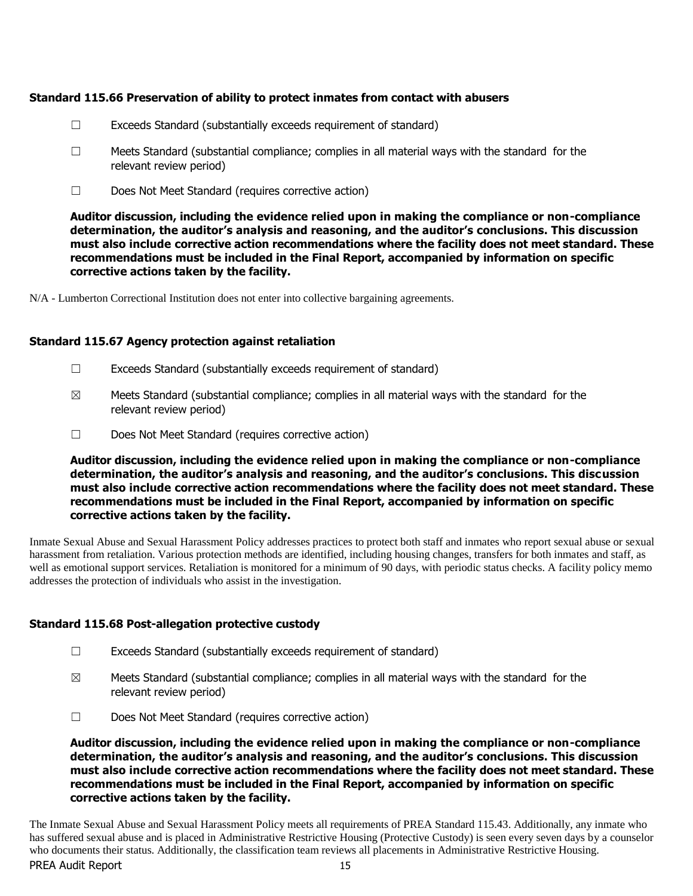## **Standard 115.66 Preservation of ability to protect inmates from contact with abusers**

- $\Box$  Exceeds Standard (substantially exceeds requirement of standard)
- $\Box$  Meets Standard (substantial compliance; complies in all material ways with the standard for the relevant review period)
- ☐ Does Not Meet Standard (requires corrective action)

**Auditor discussion, including the evidence relied upon in making the compliance or non-compliance determination, the auditor's analysis and reasoning, and the auditor's conclusions. This discussion must also include corrective action recommendations where the facility does not meet standard. These recommendations must be included in the Final Report, accompanied by information on specific corrective actions taken by the facility.**

N/A - Lumberton Correctional Institution does not enter into collective bargaining agreements.

#### **Standard 115.67 Agency protection against retaliation**

- ☐ Exceeds Standard (substantially exceeds requirement of standard)
- $\boxtimes$  Meets Standard (substantial compliance; complies in all material ways with the standard for the relevant review period)
- ☐ Does Not Meet Standard (requires corrective action)

**Auditor discussion, including the evidence relied upon in making the compliance or non-compliance determination, the auditor's analysis and reasoning, and the auditor's conclusions. This discussion must also include corrective action recommendations where the facility does not meet standard. These recommendations must be included in the Final Report, accompanied by information on specific corrective actions taken by the facility.**

Inmate Sexual Abuse and Sexual Harassment Policy addresses practices to protect both staff and inmates who report sexual abuse or sexual harassment from retaliation. Various protection methods are identified, including housing changes, transfers for both inmates and staff, as well as emotional support services. Retaliation is monitored for a minimum of 90 days, with periodic status checks. A facility policy memo addresses the protection of individuals who assist in the investigation.

## **Standard 115.68 Post-allegation protective custody**

- $\Box$  Exceeds Standard (substantially exceeds requirement of standard)
- $\boxtimes$  Meets Standard (substantial compliance; complies in all material ways with the standard for the relevant review period)
- ☐ Does Not Meet Standard (requires corrective action)

**Auditor discussion, including the evidence relied upon in making the compliance or non-compliance determination, the auditor's analysis and reasoning, and the auditor's conclusions. This discussion must also include corrective action recommendations where the facility does not meet standard. These recommendations must be included in the Final Report, accompanied by information on specific corrective actions taken by the facility.**

PREA Audit Report 15 The Inmate Sexual Abuse and Sexual Harassment Policy meets all requirements of PREA Standard 115.43. Additionally, any inmate who has suffered sexual abuse and is placed in Administrative Restrictive Housing (Protective Custody) is seen every seven days by a counselor who documents their status. Additionally, the classification team reviews all placements in Administrative Restrictive Housing.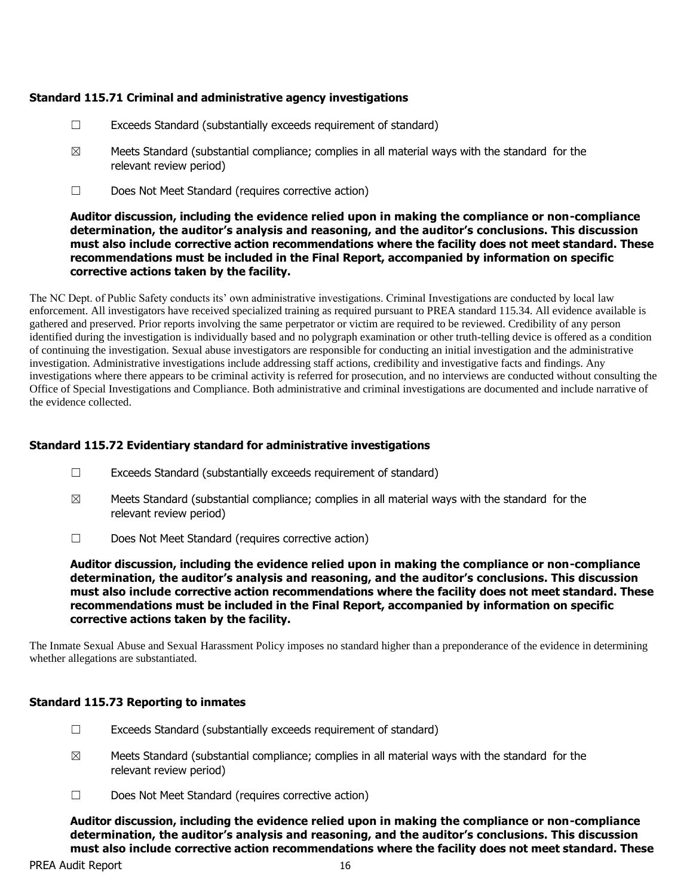## **Standard 115.71 Criminal and administrative agency investigations**

- $\Box$  Exceeds Standard (substantially exceeds requirement of standard)
- $\boxtimes$  Meets Standard (substantial compliance; complies in all material ways with the standard for the relevant review period)
- ☐ Does Not Meet Standard (requires corrective action)

**Auditor discussion, including the evidence relied upon in making the compliance or non-compliance determination, the auditor's analysis and reasoning, and the auditor's conclusions. This discussion must also include corrective action recommendations where the facility does not meet standard. These recommendations must be included in the Final Report, accompanied by information on specific corrective actions taken by the facility.**

The NC Dept. of Public Safety conducts its' own administrative investigations. Criminal Investigations are conducted by local law enforcement. All investigators have received specialized training as required pursuant to PREA standard 115.34. All evidence available is gathered and preserved. Prior reports involving the same perpetrator or victim are required to be reviewed. Credibility of any person identified during the investigation is individually based and no polygraph examination or other truth-telling device is offered as a condition of continuing the investigation. Sexual abuse investigators are responsible for conducting an initial investigation and the administrative investigation. Administrative investigations include addressing staff actions, credibility and investigative facts and findings. Any investigations where there appears to be criminal activity is referred for prosecution, and no interviews are conducted without consulting the Office of Special Investigations and Compliance. Both administrative and criminal investigations are documented and include narrative of the evidence collected.

## **Standard 115.72 Evidentiary standard for administrative investigations**

- ☐ Exceeds Standard (substantially exceeds requirement of standard)
- $\boxtimes$  Meets Standard (substantial compliance; complies in all material ways with the standard for the relevant review period)
- ☐ Does Not Meet Standard (requires corrective action)

**Auditor discussion, including the evidence relied upon in making the compliance or non-compliance determination, the auditor's analysis and reasoning, and the auditor's conclusions. This discussion must also include corrective action recommendations where the facility does not meet standard. These recommendations must be included in the Final Report, accompanied by information on specific corrective actions taken by the facility.**

The Inmate Sexual Abuse and Sexual Harassment Policy imposes no standard higher than a preponderance of the evidence in determining whether allegations are substantiated.

## **Standard 115.73 Reporting to inmates**

- $\Box$  Exceeds Standard (substantially exceeds requirement of standard)
- $\boxtimes$  Meets Standard (substantial compliance; complies in all material ways with the standard for the relevant review period)
- ☐ Does Not Meet Standard (requires corrective action)

**Auditor discussion, including the evidence relied upon in making the compliance or non-compliance determination, the auditor's analysis and reasoning, and the auditor's conclusions. This discussion must also include corrective action recommendations where the facility does not meet standard. These**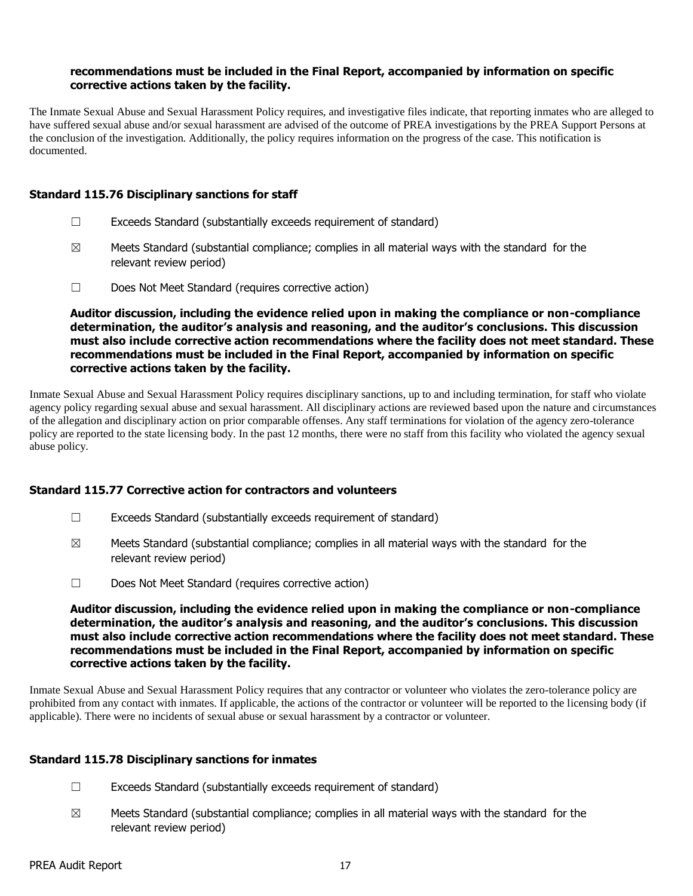#### **recommendations must be included in the Final Report, accompanied by information on specific corrective actions taken by the facility.**

The Inmate Sexual Abuse and Sexual Harassment Policy requires, and investigative files indicate, that reporting inmates who are alleged to have suffered sexual abuse and/or sexual harassment are advised of the outcome of PREA investigations by the PREA Support Persons at the conclusion of the investigation. Additionally, the policy requires information on the progress of the case. This notification is documented.

#### **Standard 115.76 Disciplinary sanctions for staff**

- ☐ Exceeds Standard (substantially exceeds requirement of standard)
- $\boxtimes$  Meets Standard (substantial compliance; complies in all material ways with the standard for the relevant review period)
- ☐ Does Not Meet Standard (requires corrective action)

**Auditor discussion, including the evidence relied upon in making the compliance or non-compliance determination, the auditor's analysis and reasoning, and the auditor's conclusions. This discussion must also include corrective action recommendations where the facility does not meet standard. These recommendations must be included in the Final Report, accompanied by information on specific corrective actions taken by the facility.**

Inmate Sexual Abuse and Sexual Harassment Policy requires disciplinary sanctions, up to and including termination, for staff who violate agency policy regarding sexual abuse and sexual harassment. All disciplinary actions are reviewed based upon the nature and circumstances of the allegation and disciplinary action on prior comparable offenses. Any staff terminations for violation of the agency zero-tolerance policy are reported to the state licensing body. In the past 12 months, there were no staff from this facility who violated the agency sexual abuse policy.

## **Standard 115.77 Corrective action for contractors and volunteers**

- $\Box$  Exceeds Standard (substantially exceeds requirement of standard)
- $\boxtimes$  Meets Standard (substantial compliance; complies in all material ways with the standard for the relevant review period)
- ☐ Does Not Meet Standard (requires corrective action)

**Auditor discussion, including the evidence relied upon in making the compliance or non-compliance determination, the auditor's analysis and reasoning, and the auditor's conclusions. This discussion must also include corrective action recommendations where the facility does not meet standard. These recommendations must be included in the Final Report, accompanied by information on specific corrective actions taken by the facility.**

Inmate Sexual Abuse and Sexual Harassment Policy requires that any contractor or volunteer who violates the zero-tolerance policy are prohibited from any contact with inmates. If applicable, the actions of the contractor or volunteer will be reported to the licensing body (if applicable). There were no incidents of sexual abuse or sexual harassment by a contractor or volunteer.

## **Standard 115.78 Disciplinary sanctions for inmates**

- $\Box$  Exceeds Standard (substantially exceeds requirement of standard)
- $\boxtimes$  Meets Standard (substantial compliance; complies in all material ways with the standard for the relevant review period)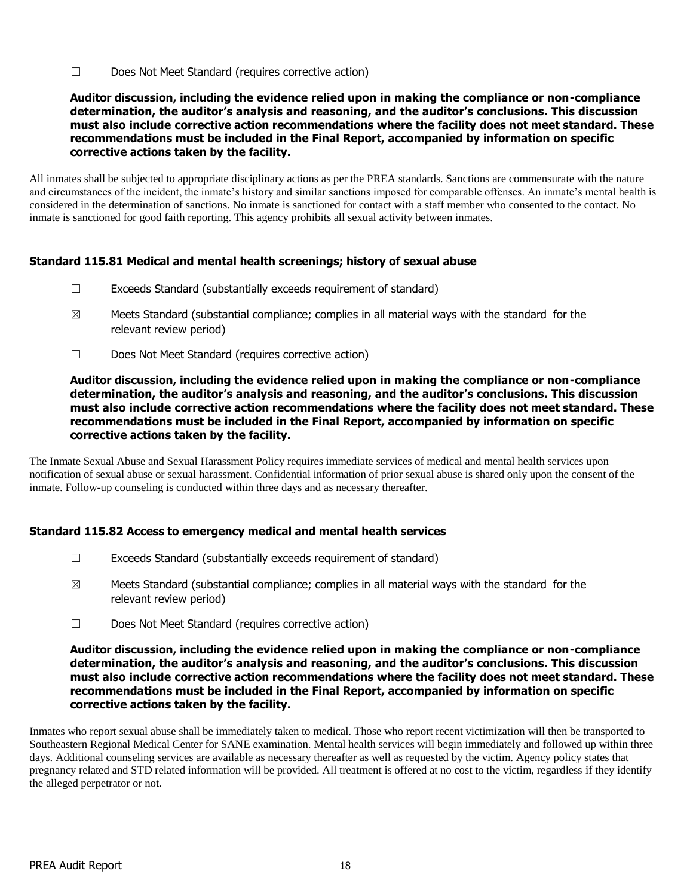☐ Does Not Meet Standard (requires corrective action)

#### **Auditor discussion, including the evidence relied upon in making the compliance or non-compliance determination, the auditor's analysis and reasoning, and the auditor's conclusions. This discussion must also include corrective action recommendations where the facility does not meet standard. These recommendations must be included in the Final Report, accompanied by information on specific corrective actions taken by the facility.**

All inmates shall be subjected to appropriate disciplinary actions as per the PREA standards. Sanctions are commensurate with the nature and circumstances of the incident, the inmate's history and similar sanctions imposed for comparable offenses. An inmate's mental health is considered in the determination of sanctions. No inmate is sanctioned for contact with a staff member who consented to the contact. No inmate is sanctioned for good faith reporting. This agency prohibits all sexual activity between inmates.

## **Standard 115.81 Medical and mental health screenings; history of sexual abuse**

- ☐ Exceeds Standard (substantially exceeds requirement of standard)
- $\boxtimes$  Meets Standard (substantial compliance; complies in all material ways with the standard for the relevant review period)
- ☐ Does Not Meet Standard (requires corrective action)

#### **Auditor discussion, including the evidence relied upon in making the compliance or non-compliance determination, the auditor's analysis and reasoning, and the auditor's conclusions. This discussion must also include corrective action recommendations where the facility does not meet standard. These recommendations must be included in the Final Report, accompanied by information on specific corrective actions taken by the facility.**

The Inmate Sexual Abuse and Sexual Harassment Policy requires immediate services of medical and mental health services upon notification of sexual abuse or sexual harassment. Confidential information of prior sexual abuse is shared only upon the consent of the inmate. Follow-up counseling is conducted within three days and as necessary thereafter.

## **Standard 115.82 Access to emergency medical and mental health services**

- $\Box$  Exceeds Standard (substantially exceeds requirement of standard)
- $\boxtimes$  Meets Standard (substantial compliance; complies in all material ways with the standard for the relevant review period)
- ☐ Does Not Meet Standard (requires corrective action)

#### **Auditor discussion, including the evidence relied upon in making the compliance or non-compliance determination, the auditor's analysis and reasoning, and the auditor's conclusions. This discussion must also include corrective action recommendations where the facility does not meet standard. These recommendations must be included in the Final Report, accompanied by information on specific corrective actions taken by the facility.**

Inmates who report sexual abuse shall be immediately taken to medical. Those who report recent victimization will then be transported to Southeastern Regional Medical Center for SANE examination. Mental health services will begin immediately and followed up within three days. Additional counseling services are available as necessary thereafter as well as requested by the victim. Agency policy states that pregnancy related and STD related information will be provided. All treatment is offered at no cost to the victim, regardless if they identify the alleged perpetrator or not.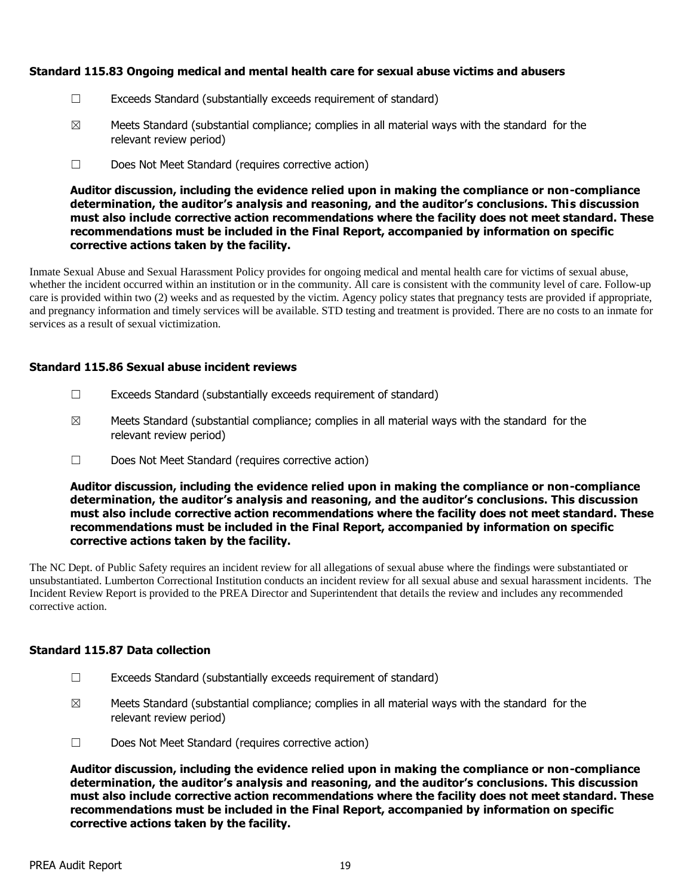## **Standard 115.83 Ongoing medical and mental health care for sexual abuse victims and abusers**

- ☐ Exceeds Standard (substantially exceeds requirement of standard)
- $\boxtimes$  Meets Standard (substantial compliance; complies in all material ways with the standard for the relevant review period)
- ☐ Does Not Meet Standard (requires corrective action)

**Auditor discussion, including the evidence relied upon in making the compliance or non-compliance determination, the auditor's analysis and reasoning, and the auditor's conclusions. This discussion must also include corrective action recommendations where the facility does not meet standard. These recommendations must be included in the Final Report, accompanied by information on specific corrective actions taken by the facility.**

Inmate Sexual Abuse and Sexual Harassment Policy provides for ongoing medical and mental health care for victims of sexual abuse, whether the incident occurred within an institution or in the community. All care is consistent with the community level of care. Follow-up care is provided within two (2) weeks and as requested by the victim. Agency policy states that pregnancy tests are provided if appropriate, and pregnancy information and timely services will be available. STD testing and treatment is provided. There are no costs to an inmate for services as a result of sexual victimization.

#### **Standard 115.86 Sexual abuse incident reviews**

- $\Box$  Exceeds Standard (substantially exceeds requirement of standard)
- $\boxtimes$  Meets Standard (substantial compliance; complies in all material ways with the standard for the relevant review period)
- ☐ Does Not Meet Standard (requires corrective action)

**Auditor discussion, including the evidence relied upon in making the compliance or non-compliance determination, the auditor's analysis and reasoning, and the auditor's conclusions. This discussion must also include corrective action recommendations where the facility does not meet standard. These recommendations must be included in the Final Report, accompanied by information on specific corrective actions taken by the facility.**

The NC Dept. of Public Safety requires an incident review for all allegations of sexual abuse where the findings were substantiated or unsubstantiated. Lumberton Correctional Institution conducts an incident review for all sexual abuse and sexual harassment incidents. The Incident Review Report is provided to the PREA Director and Superintendent that details the review and includes any recommended corrective action.

## **Standard 115.87 Data collection**

- ☐ Exceeds Standard (substantially exceeds requirement of standard)
- $\boxtimes$  Meets Standard (substantial compliance; complies in all material ways with the standard for the relevant review period)
- ☐ Does Not Meet Standard (requires corrective action)

**Auditor discussion, including the evidence relied upon in making the compliance or non-compliance determination, the auditor's analysis and reasoning, and the auditor's conclusions. This discussion must also include corrective action recommendations where the facility does not meet standard. These recommendations must be included in the Final Report, accompanied by information on specific corrective actions taken by the facility.**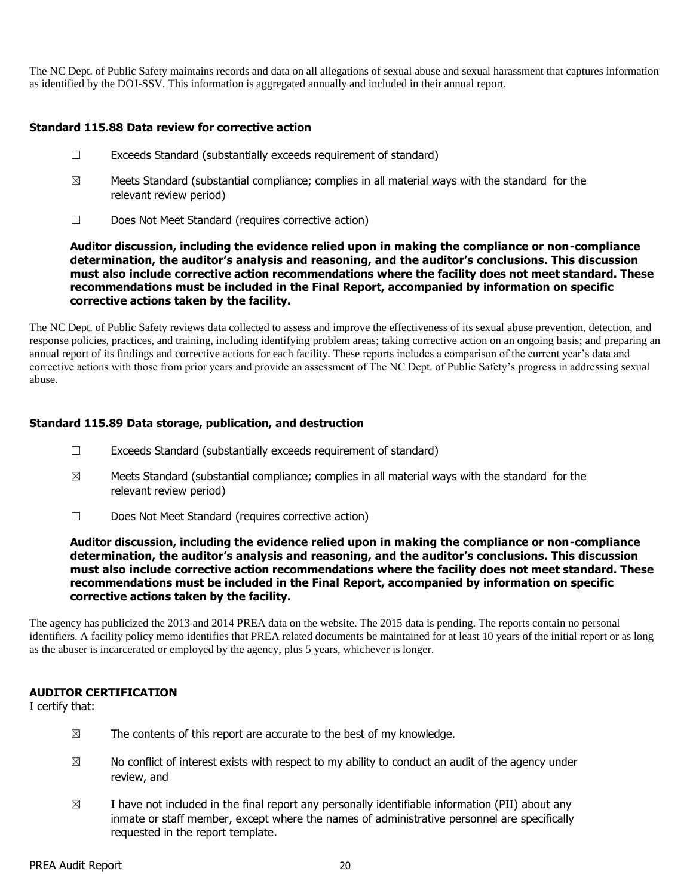The NC Dept. of Public Safety maintains records and data on all allegations of sexual abuse and sexual harassment that captures information as identified by the DOJ-SSV. This information is aggregated annually and included in their annual report.

## **Standard 115.88 Data review for corrective action**

- ☐ Exceeds Standard (substantially exceeds requirement of standard)
- $\boxtimes$  Meets Standard (substantial compliance; complies in all material ways with the standard for the relevant review period)
- ☐ Does Not Meet Standard (requires corrective action)

**Auditor discussion, including the evidence relied upon in making the compliance or non-compliance determination, the auditor's analysis and reasoning, and the auditor's conclusions. This discussion must also include corrective action recommendations where the facility does not meet standard. These recommendations must be included in the Final Report, accompanied by information on specific corrective actions taken by the facility.**

The NC Dept. of Public Safety reviews data collected to assess and improve the effectiveness of its sexual abuse prevention, detection, and response policies, practices, and training, including identifying problem areas; taking corrective action on an ongoing basis; and preparing an annual report of its findings and corrective actions for each facility. These reports includes a comparison of the current year's data and corrective actions with those from prior years and provide an assessment of The NC Dept. of Public Safety's progress in addressing sexual abuse.

## **Standard 115.89 Data storage, publication, and destruction**

- ☐ Exceeds Standard (substantially exceeds requirement of standard)
- $\boxtimes$  Meets Standard (substantial compliance; complies in all material ways with the standard for the relevant review period)
- ☐ Does Not Meet Standard (requires corrective action)

**Auditor discussion, including the evidence relied upon in making the compliance or non-compliance determination, the auditor's analysis and reasoning, and the auditor's conclusions. This discussion must also include corrective action recommendations where the facility does not meet standard. These recommendations must be included in the Final Report, accompanied by information on specific corrective actions taken by the facility.**

The agency has publicized the 2013 and 2014 PREA data on the website. The 2015 data is pending. The reports contain no personal identifiers. A facility policy memo identifies that PREA related documents be maintained for at least 10 years of the initial report or as long as the abuser is incarcerated or employed by the agency, plus 5 years, whichever is longer.

#### **AUDITOR CERTIFICATION**

I certify that:

- $\boxtimes$  The contents of this report are accurate to the best of my knowledge.
- $\boxtimes$  No conflict of interest exists with respect to my ability to conduct an audit of the agency under review, and
- $\boxtimes$  I have not included in the final report any personally identifiable information (PII) about any inmate or staff member, except where the names of administrative personnel are specifically requested in the report template.